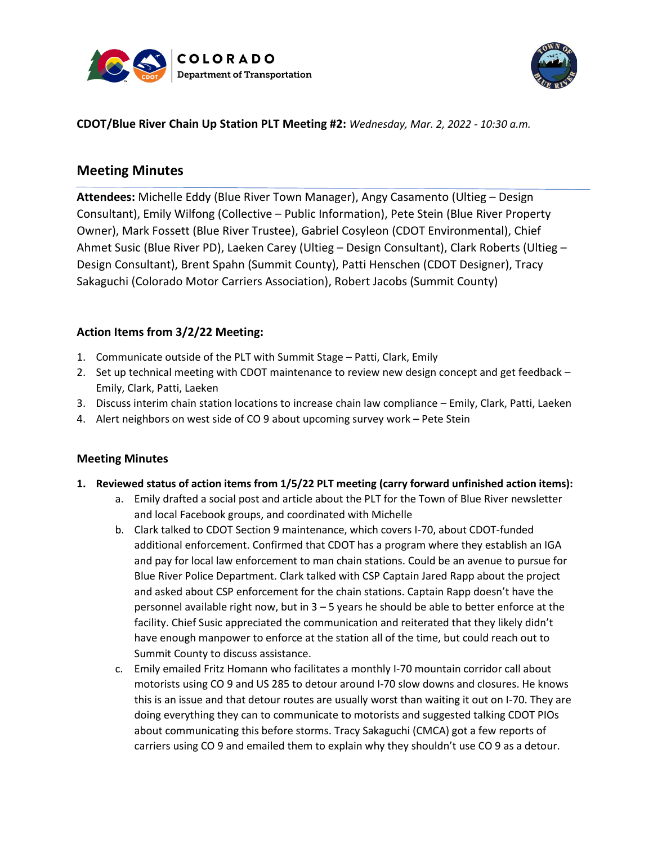



### **CDOT/Blue River Chain Up Station PLT Meeting #2:** *Wednesday, Mar. 2, 2022 - 10:30 a.m.*

# **Meeting Minutes**

**Attendees:** Michelle Eddy (Blue River Town Manager), Angy Casamento (Ultieg – Design Consultant), Emily Wilfong (Collective – Public Information), Pete Stein (Blue River Property Owner), Mark Fossett (Blue River Trustee), Gabriel Cosyleon (CDOT Environmental), Chief Ahmet Susic (Blue River PD), Laeken Carey (Ultieg – Design Consultant), Clark Roberts (Ultieg – Design Consultant), Brent Spahn (Summit County), Patti Henschen (CDOT Designer), Tracy Sakaguchi (Colorado Motor Carriers Association), Robert Jacobs (Summit County)

## **Action Items from 3/2/22 Meeting:**

- 1. Communicate outside of the PLT with Summit Stage Patti, Clark, Emily
- 2. Set up technical meeting with CDOT maintenance to review new design concept and get feedback Emily, Clark, Patti, Laeken
- 3. Discuss interim chain station locations to increase chain law compliance Emily, Clark, Patti, Laeken
- 4. Alert neighbors on west side of CO 9 about upcoming survey work Pete Stein

#### **Meeting Minutes**

- **1. Reviewed status of action items from 1/5/22 PLT meeting (carry forward unfinished action items):**
	- a. Emily drafted a social post and article about the PLT for the Town of Blue River newsletter and local Facebook groups, and coordinated with Michelle
	- b. Clark talked to CDOT Section 9 maintenance, which covers I-70, about CDOT-funded additional enforcement. Confirmed that CDOT has a program where they establish an IGA and pay for local law enforcement to man chain stations. Could be an avenue to pursue for Blue River Police Department. Clark talked with CSP Captain Jared Rapp about the project and asked about CSP enforcement for the chain stations. Captain Rapp doesn't have the personnel available right now, but in 3 – 5 years he should be able to better enforce at the facility. Chief Susic appreciated the communication and reiterated that they likely didn't have enough manpower to enforce at the station all of the time, but could reach out to Summit County to discuss assistance.
	- c. Emily emailed Fritz Homann who facilitates a monthly I-70 mountain corridor call about motorists using CO 9 and US 285 to detour around I-70 slow downs and closures. He knows this is an issue and that detour routes are usually worst than waiting it out on I-70. They are doing everything they can to communicate to motorists and suggested talking CDOT PIOs about communicating this before storms. Tracy Sakaguchi (CMCA) got a few reports of carriers using CO 9 and emailed them to explain why they shouldn't use CO 9 as a detour.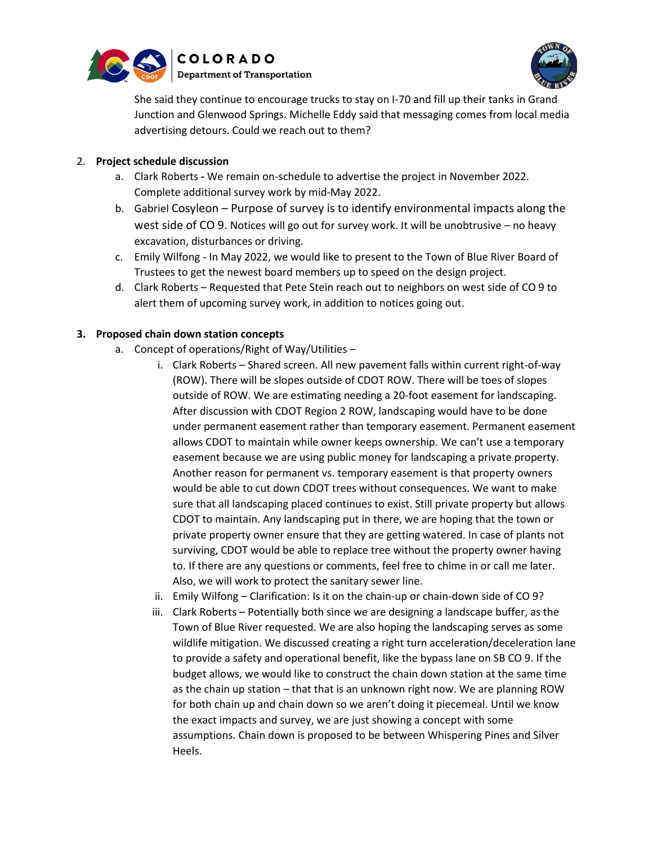



She said they continue to encourage trucks to stay on I-70 and fill up their tanks in Grand Junction and Glenwood Springs. Michelle Eddy said that messaging comes from local media advertising detours. Could we reach out to them?

#### 2. **Project schedule discussion**

- a. Clark Roberts **-** We remain on-schedule to advertise the project in November 2022. Complete additional survey work by mid-May 2022.
- b. Gabriel Cosyleon Purpose of survey is to identify environmental impacts along the west side of CO 9. Notices will go out for survey work. It will be unobtrusive – no heavy excavation, disturbances or driving.
- c. Emily Wilfong In May 2022, we would like to present to the Town of Blue River Board of Trustees to get the newest board members up to speed on the design project.
- d. Clark Roberts Requested that Pete Stein reach out to neighbors on west side of CO 9 to alert them of upcoming survey work, in addition to notices going out.

## **3. Proposed chain down station concepts**

- a. Concept of operations/Right of Way/Utilities
	- i. Clark Roberts Shared screen. All new pavement falls within current right-of-way (ROW). There will be slopes outside of CDOT ROW. There will be toes of slopes outside of ROW. We are estimating needing a 20-foot easement for landscaping. After discussion with CDOT Region 2 ROW, landscaping would have to be done under permanent easement rather than temporary easement. Permanent easement allows CDOT to maintain while owner keeps ownership. We can't use a temporary easement because we are using public money for landscaping a private property. Another reason for permanent vs. temporary easement is that property owners would be able to cut down CDOT trees without consequences. We want to make sure that all landscaping placed continues to exist. Still private property but allows CDOT to maintain. Any landscaping put in there, we are hoping that the town or private property owner ensure that they are getting watered. In case of plants not surviving, CDOT would be able to replace tree without the property owner having to. If there are any questions or comments, feel free to chime in or call me later. Also, we will work to protect the sanitary sewer line.
	- ii. Emily Wilfong Clarification: Is it on the chain-up or chain-down side of CO 9?
	- iii. Clark Roberts Potentially both since we are designing a landscape buffer, as the Town of Blue River requested. We are also hoping the landscaping serves as some wildlife mitigation. We discussed creating a right turn acceleration/deceleration lane to provide a safety and operational benefit, like the bypass lane on SB CO 9. If the budget allows, we would like to construct the chain down station at the same time as the chain up station – that that is an unknown right now. We are planning ROW for both chain up and chain down so we aren't doing it piecemeal. Until we know the exact impacts and survey, we are just showing a concept with some assumptions. Chain down is proposed to be between Whispering Pines and Silver Heels.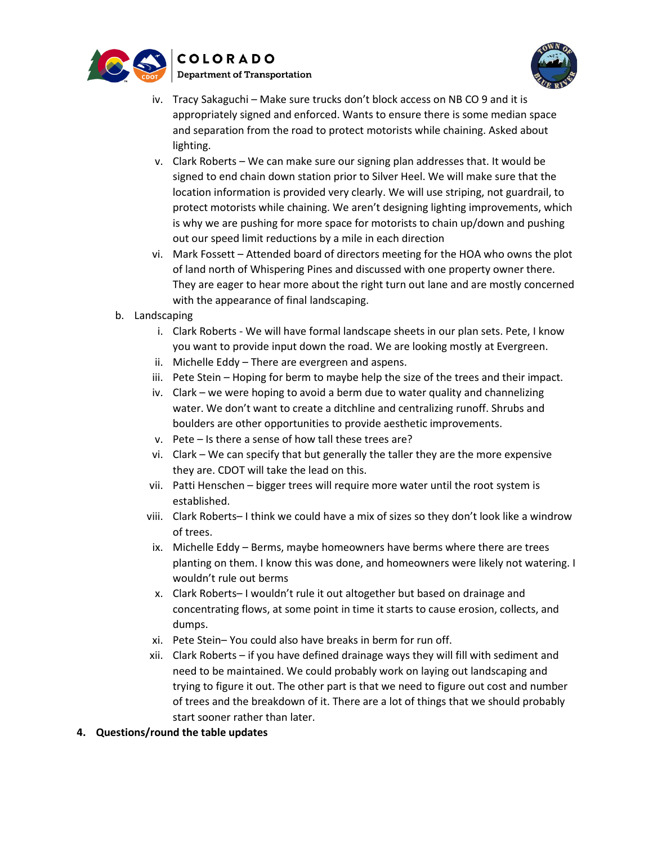



- iv. Tracy Sakaguchi Make sure trucks don't block access on NB CO 9 and it is appropriately signed and enforced. Wants to ensure there is some median space and separation from the road to protect motorists while chaining. Asked about lighting.
- v. Clark Roberts We can make sure our signing plan addresses that. It would be signed to end chain down station prior to Silver Heel. We will make sure that the location information is provided very clearly. We will use striping, not guardrail, to protect motorists while chaining. We aren't designing lighting improvements, which is why we are pushing for more space for motorists to chain up/down and pushing out our speed limit reductions by a mile in each direction
- vi. Mark Fossett Attended board of directors meeting for the HOA who owns the plot of land north of Whispering Pines and discussed with one property owner there. They are eager to hear more about the right turn out lane and are mostly concerned with the appearance of final landscaping.
- b. Landscaping
	- i. Clark Roberts We will have formal landscape sheets in our plan sets. Pete, I know you want to provide input down the road. We are looking mostly at Evergreen.
	- ii. Michelle Eddy There are evergreen and aspens.
	- iii. Pete Stein Hoping for berm to maybe help the size of the trees and their impact.
	- iv. Clark we were hoping to avoid a berm due to water quality and channelizing water. We don't want to create a ditchline and centralizing runoff. Shrubs and boulders are other opportunities to provide aesthetic improvements.
	- v. Pete Is there a sense of how tall these trees are?
	- vi. Clark We can specify that but generally the taller they are the more expensive they are. CDOT will take the lead on this.
	- vii. Patti Henschen bigger trees will require more water until the root system is established.
	- viii. Clark Roberts– I think we could have a mix of sizes so they don't look like a windrow of trees.
	- ix. Michelle Eddy Berms, maybe homeowners have berms where there are trees planting on them. I know this was done, and homeowners were likely not watering. I wouldn't rule out berms
	- x. Clark Roberts– I wouldn't rule it out altogether but based on drainage and concentrating flows, at some point in time it starts to cause erosion, collects, and dumps.
	- xi. Pete Stein– You could also have breaks in berm for run off.
	- xii. Clark Roberts if you have defined drainage ways they will fill with sediment and need to be maintained. We could probably work on laying out landscaping and trying to figure it out. The other part is that we need to figure out cost and number of trees and the breakdown of it. There are a lot of things that we should probably start sooner rather than later.
- **4. Questions/round the table updates**